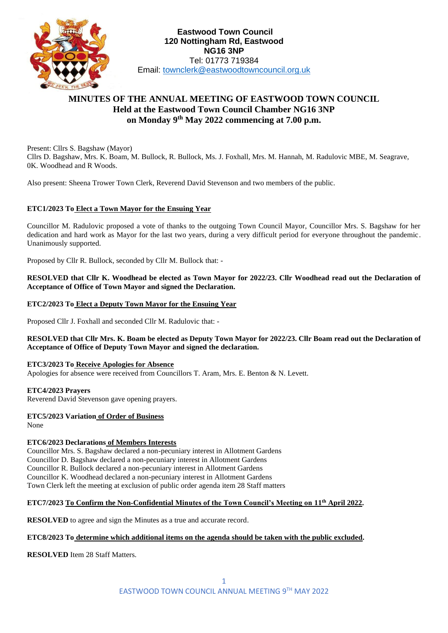

# **MINUTES OF THE ANNUAL MEETING OF EASTWOOD TOWN COUNCIL Held at the Eastwood Town Council Chamber NG16 3NP on Monday 9 th May 2022 commencing at 7.00 p.m.**

Present: Cllrs S. Bagshaw (Mayor) Cllrs D. Bagshaw, Mrs. K. Boam, M. Bullock, R. Bullock, Ms. J. Foxhall, Mrs. M. Hannah, M. Radulovic MBE, M. Seagrave, 0K. Woodhead and R Woods.

Also present: Sheena Trower Town Clerk, Reverend David Stevenson and two members of the public.

## **ETC1/2023 To Elect a Town Mayor for the Ensuing Year**

Councillor M. Radulovic proposed a vote of thanks to the outgoing Town Council Mayor, Councillor Mrs. S. Bagshaw for her dedication and hard work as Mayor for the last two years, during a very difficult period for everyone throughout the pandemic. Unanimously supported.

Proposed by Cllr R. Bullock, seconded by Cllr M. Bullock that: -

**RESOLVED that Cllr K. Woodhead be elected as Town Mayor for 2022/23. Cllr Woodhead read out the Declaration of Acceptance of Office of Town Mayor and signed the Declaration.**

### **ETC2/2023 To Elect a Deputy Town Mayor for the Ensuing Year**

Proposed Cllr J. Foxhall and seconded Cllr M. Radulovic that: -

### **RESOLVED that Cllr Mrs. K. Boam be elected as Deputy Town Mayor for 2022/23. Cllr Boam read out the Declaration of Acceptance of Office of Deputy Town Mayor and signed the declaration.**

### **ETC3/2023 To Receive Apologies for Absence**

Apologies for absence were received from Councillors T. Aram, Mrs. E. Benton & N. Levett.

### **ETC4/2023 Prayers**

Reverend David Stevenson gave opening prayers.

### **ETC5/2023 Variation of Order of Business**

None

## **ETC6/2023 Declarations of Members Interests**

Councillor Mrs. S. Bagshaw declared a non-pecuniary interest in Allotment Gardens Councillor D. Bagshaw declared a non-pecuniary interest in Allotment Gardens Councillor R. Bullock declared a non-pecuniary interest in Allotment Gardens Councillor K. Woodhead declared a non-pecuniary interest in Allotment Gardens Town Clerk left the meeting at exclusion of public order agenda item 28 Staff matters

## **ETC7/2023 To Confirm the Non-Confidential Minutes of the Town Council's Meeting on 11th April 2022.**

**RESOLVED** to agree and sign the Minutes as a true and accurate record.

### **ETC8/2023 To determine which additional items on the agenda should be taken with the public excluded.**

**RESOLVED** Item 28 Staff Matters.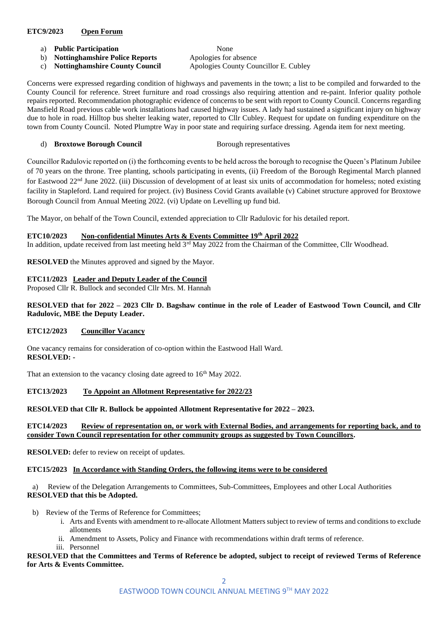### **ETC9/2023 Open Forum**

- a) **Public Participation** None
- b) **Nottinghamshire Police Reports** Apologies for absence c) **Nottinghamshire County Council** Apologies County Councillor E. Cubley

Concerns were expressed regarding condition of highways and pavements in the town; a list to be compiled and forwarded to the County Council for reference. Street furniture and road crossings also requiring attention and re-paint. Inferior quality pothole repairs reported. Recommendation photographic evidence of concerns to be sent with report to County Council. Concerns regarding Mansfield Road previous cable work installations had caused highway issues. A lady had sustained a significant injury on highway due to hole in road. Hilltop bus shelter leaking water, reported to Cllr Cubley. Request for update on funding expenditure on the town from County Council. Noted Plumptre Way in poor state and requiring surface dressing. Agenda item for next meeting.

## d) **Broxtowe Borough Council** Borough representatives

Councillor Radulovic reported on (i) the forthcoming events to be held across the borough to recognise the Queen's Platinum Jubilee of 70 years on the throne. Tree planting, schools participating in events, (ii) Freedom of the Borough Regimental March planned for Eastwood 22nd June 2022. (iii) Discussion of development of at least six units of accommodation for homeless; noted existing facility in Stapleford. Land required for project. (iv) Business Covid Grants available (v) Cabinet structure approved for Broxtowe Borough Council from Annual Meeting 2022. (vi) Update on Levelling up fund bid.

The Mayor, on behalf of the Town Council, extended appreciation to Cllr Radulovic for his detailed report.

### **ETC10/2023 Non-confidential Minutes Arts & Events Committee 19th April 2022**

In addition, update received from last meeting held 3<sup>rd</sup> May 2022 from the Chairman of the Committee, Cllr Woodhead.

**RESOLVED** the Minutes approved and signed by the Mayor.

### **ETC11/2023 Leader and Deputy Leader of the Council**

Proposed Cllr R. Bullock and seconded Cllr Mrs. M. Hannah

### **RESOLVED that for 2022 – 2023 Cllr D. Bagshaw continue in the role of Leader of Eastwood Town Council, and Cllr Radulovic, MBE the Deputy Leader.**

## **ETC12/2023 Councillor Vacancy**

One vacancy remains for consideration of co-option within the Eastwood Hall Ward. **RESOLVED: -**

That an extension to the vacancy closing date agreed to  $16<sup>th</sup>$  May 2022.

## **ETC13/2023 To Appoint an Allotment Representative for 2022/23**

## **RESOLVED that Cllr R. Bullock be appointed Allotment Representative for 2022 – 2023.**

### **ETC14/2023 Review of representation on, or work with External Bodies, and arrangements for reporting back, and to consider Town Council representation for other community groups as suggested by Town Councillors.**

**RESOLVED:** defer to review on receipt of updates.

## **ETC15/2023 In Accordance with Standing Orders, the following items were to be considered**

a) Review of the Delegation Arrangements to Committees, Sub-Committees, Employees and other Local Authorities **RESOLVED that this be Adopted.**

- b) Review of the Terms of Reference for Committees;
	- i. Arts and Events with amendment to re-allocate Allotment Matters subject to review of terms and conditions to exclude allotments
		- ii. Amendment to Assets, Policy and Finance with recommendations within draft terms of reference.
	- iii. Personnel

### **RESOLVED that the Committees and Terms of Reference be adopted, subject to receipt of reviewed Terms of Reference for Arts & Events Committee.**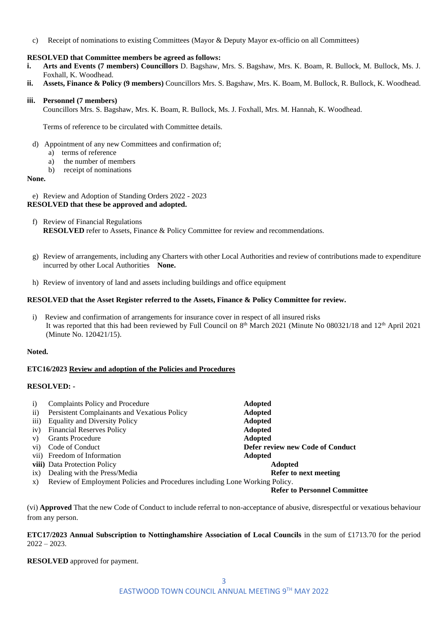c) Receipt of nominations to existing Committees (Mayor & Deputy Mayor ex-officio on all Committees)

#### **RESOLVED that Committee members be agreed as follows:**

- **i. Arts and Events (7 members) Councillors** D. Bagshaw, Mrs. S. Bagshaw, Mrs. K. Boam, R. Bullock, M. Bullock, Ms. J. Foxhall, K. Woodhead.
- **ii. Assets, Finance & Policy (9 members)** Councillors Mrs. S. Bagshaw, Mrs. K. Boam, M. Bullock, R. Bullock, K. Woodhead.

#### **iii. Personnel (7 members)**

Councillors Mrs. S. Bagshaw, Mrs. K. Boam, R. Bullock, Ms. J. Foxhall, Mrs. M. Hannah, K. Woodhead.

Terms of reference to be circulated with Committee details.

- d) Appointment of any new Committees and confirmation of;
	- a) terms of reference
		- a) the number of members
		- b) receipt of nominations

#### **None.**

e) Review and Adoption of Standing Orders 2022 - 2023 **RESOLVED that these be approved and adopted.**

- f) Review of Financial Regulations **RESOLVED** refer to Assets, Finance & Policy Committee for review and recommendations.
- g) Review of arrangements, including any Charters with other Local Authorities and review of contributions made to expenditure incurred by other Local Authorities **None.**
- h) Review of inventory of land and assets including buildings and office equipment

#### **RESOLVED that the Asset Register referred to the Assets, Finance & Policy Committee for review.**

i) Review and confirmation of arrangements for insurance cover in respect of all insured risks It was reported that this had been reviewed by Full Council on  $8<sup>th</sup>$  March 2021 (Minute No 080321/18 and 12<sup>th</sup> April 2021 (Minute No. 120421/15).

### **Noted.**

#### **ETC16/2023 Review and adoption of the Policies and Procedures**

### **RESOLVED: -**

| $\mathbf{i}$     | Complaints Policy and Procedure                                             | <b>Adopted</b>                   |
|------------------|-----------------------------------------------------------------------------|----------------------------------|
| $\overline{ii}$  | Persistent Complainants and Vexatious Policy                                | <b>Adopted</b>                   |
| $\overline{iii}$ | <b>Equality and Diversity Policy</b>                                        | <b>Adopted</b>                   |
| iv)              | <b>Financial Reserves Policy</b>                                            | <b>Adopted</b>                   |
| V)               | <b>Grants Procedure</b>                                                     | <b>Adopted</b>                   |
| $\mathbf{v}$ i)  | Code of Conduct                                                             | Defer review new Code of Conduct |
|                  | vii) Freedom of Information                                                 | <b>Adopted</b>                   |
|                  | viii) Data Protection Policy                                                | <b>Adopted</b>                   |
| ix)              | Dealing with the Press/Media                                                | Refer to next meeting            |
| X)               | Review of Employment Policies and Procedures including Lone Working Policy. |                                  |

#### **Refer to Personnel Committee**

(vi) **Approved** That the new Code of Conduct to include referral to non-acceptance of abusive, disrespectful or vexatious behaviour from any person.

**ETC17/2023 Annual Subscription to Nottinghamshire Association of Local Councils** in the sum of £1713.70 for the period  $2022 - 2023$ .

**RESOLVED** approved for payment.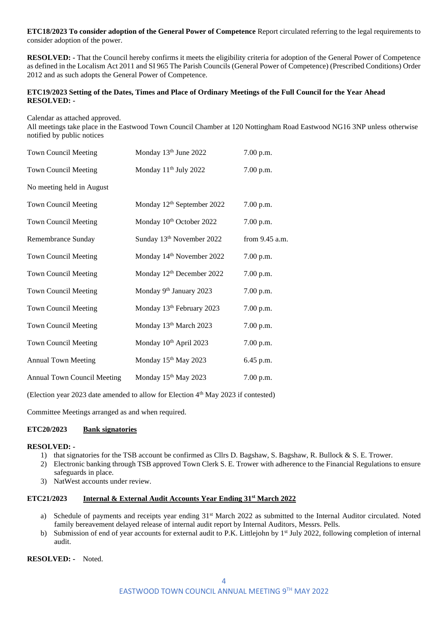**ETC18/2023 To consider adoption of the General Power of Competence** Report circulated referring to the legal requirements to consider adoption of the power.

**RESOLVED: -** That the Council hereby confirms it meets the eligibility criteria for adoption of the General Power of Competence as defined in the Localism Act 2011 and SI 965 The Parish Councils (General Power of Competence) (Prescribed Conditions) Order 2012 and as such adopts the General Power of Competence.

#### **ETC19/2023 Setting of the Dates, Times and Place of Ordinary Meetings of the Full Council for the Year Ahead RESOLVED: -**

Calendar as attached approved.

All meetings take place in the Eastwood Town Council Chamber at 120 Nottingham Road Eastwood NG16 3NP unless otherwise notified by public notices

| <b>Town Council Meeting</b>        | Monday 13th June 2022                  | 7.00 p.m.      |
|------------------------------------|----------------------------------------|----------------|
| <b>Town Council Meeting</b>        | Monday 11 <sup>th</sup> July 2022      | 7.00 p.m.      |
| No meeting held in August          |                                        |                |
| <b>Town Council Meeting</b>        | Monday 12 <sup>th</sup> September 2022 | 7.00 p.m.      |
| <b>Town Council Meeting</b>        | Monday 10 <sup>th</sup> October 2022   | 7.00 p.m.      |
| Remembrance Sunday                 | Sunday 13th November 2022              | from 9.45 a.m. |
| <b>Town Council Meeting</b>        | Monday 14 <sup>th</sup> November 2022  | 7.00 p.m.      |
| <b>Town Council Meeting</b>        | Monday 12 <sup>th</sup> December 2022  | 7.00 p.m.      |
| <b>Town Council Meeting</b>        | Monday 9 <sup>th</sup> January 2023    | 7.00 p.m.      |
| <b>Town Council Meeting</b>        | Monday 13 <sup>th</sup> February 2023  | 7.00 p.m.      |
| <b>Town Council Meeting</b>        | Monday 13th March 2023                 | 7.00 p.m.      |
| <b>Town Council Meeting</b>        | Monday 10 <sup>th</sup> April 2023     | 7.00 p.m.      |
| <b>Annual Town Meeting</b>         | Monday 15 <sup>th</sup> May 2023       | 6.45 p.m.      |
| <b>Annual Town Council Meeting</b> | Monday 15th May 2023                   | 7.00 p.m.      |

(Election year 2023 date amended to allow for Election 4th May 2023 if contested)

Committee Meetings arranged as and when required.

### **ETC20/2023 Bank signatories**

#### **RESOLVED: -**

- 1) that signatories for the TSB account be confirmed as Cllrs D. Bagshaw, S. Bagshaw, R. Bullock & S. E. Trower.
- 2) Electronic banking through TSB approved Town Clerk S. E. Trower with adherence to the Financial Regulations to ensure safeguards in place.
- 3) NatWest accounts under review.

## **ETC21/2023 Internal & External Audit Accounts Year Ending 31st March 2022**

- a) Schedule of payments and receipts year ending 31<sup>st</sup> March 2022 as submitted to the Internal Auditor circulated. Noted family bereavement delayed release of internal audit report by Internal Auditors, Messrs. Pells.
- b) Submission of end of year accounts for external audit to P.K. Littlejohn by  $1<sup>st</sup>$  July 2022, following completion of internal audit.

**RESOLVED: -** Noted.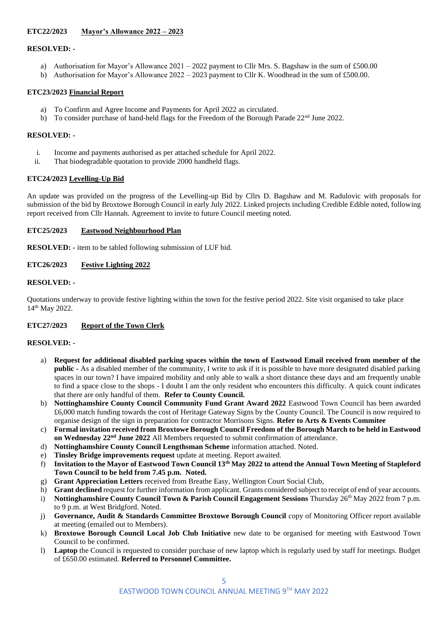## **ETC22/2023 Mayor's Allowance 2022 – 2023**

### **RESOLVED: -**

- a) Authorisation for Mayor's Allowance 2021 2022 payment to Cllr Mrs. S. Bagshaw in the sum of £500.00
- b) Authorisation for Mayor's Allowance 2022 2023 payment to Cllr K. Woodhead in the sum of £500.00.

### **ETC23/2023 Financial Report**

- a) To Confirm and Agree Income and Payments for April 2022 as circulated.
- b) To consider purchase of hand-held flags for the Freedom of the Borough Parade  $22<sup>nd</sup>$  June 2022.

#### **RESOLVED: -**

- i. Income and payments authorised as per attached schedule for April 2022.
- ii. That biodegradable quotation to provide 2000 handheld flags.

### **ETC24/2023 Levelling-Up Bid**

An update was provided on the progress of the Levelling-up Bid by Cllrs D. Bagshaw and M. Radulovic with proposals for submission of the bid by Broxtowe Borough Council in early July 2022. Linked projects including Credible Edible noted, following report received from Cllr Hannah. Agreement to invite to future Council meeting noted.

#### **ETC25/2023 Eastwood Neighbourhood Plan**

**RESOLVED: -** item to be tabled following submission of LUF bid.

### **ETC26/2023 Festive Lighting 2022**

### **RESOLVED: -**

Quotations underway to provide festive lighting within the town for the festive period 2022. Site visit organised to take place 14th May 2022.

### **ETC27/2023 Report of the Town Clerk**

### **RESOLVED: -**

- a) **Request for additional disabled parking spaces within the town of Eastwood Email received from member of the public -** As a disabled member of the community, I write to ask if it is possible to have more designated disabled parking spaces in our town? I have impaired mobility and only able to walk a short distance these days and am frequently unable to find a space close to the shops - I doubt I am the only resident who encounters this difficulty. A quick count indicates that there are only handful of them. **Refer to County Council.**
- b) **Nottinghamshire County Council Community Fund Grant Award 2022** Eastwood Town Council has been awarded £6,000 match funding towards the cost of Heritage Gateway Signs by the County Council. The Council is now required to organise design of the sign in preparation for contractor Morrisons Signs. **Refer to Arts & Events Commitee**
- c) **Formal invitation received from Broxtowe Borough Council Freedom of the Borough March to be held in Eastwood on Wednesday 22nd June 2022** All Members requested to submit confirmation of attendance.
- d) **Nottinghamshire County Council Lengthsman Scheme** information attached. Noted.
- e) **Tinsley Bridge improvements request** update at meeting. Report awaited.
- f) **Invitation to the Mayor of Eastwood Town Council 13th May 2022 to attend the Annual Town Meeting of Stapleford Town Council to be held from 7.45 p.m. Noted.**
- g) **Grant Appreciation Letters** received from Breathe Easy, Wellington Court Social Club,
- h) **Grant declined** request for further information from applicant. Grants considered subject to receipt of end of year accounts.
- i) **Nottinghamshire County Council Town & Parish Council Engagement Sessions** Thursday 26<sup>th</sup> May 2022 from 7 p.m. to 9 p.m. at West Bridgford. Noted.
- j) **Governance, Audit & Standards Committee Broxtowe Borough Council** copy of Monitoring Officer report available at meeting (emailed out to Members).
- k) **Broxtowe Borough Council Local Job Club Initiative** new date to be organised for meeting with Eastwood Town Council to be confirmed.
- l) **Laptop** the Council is requested to consider purchase of new laptop which is regularly used by staff for meetings. Budget of £650.00 estimated. **Referred to Personnel Committee.**